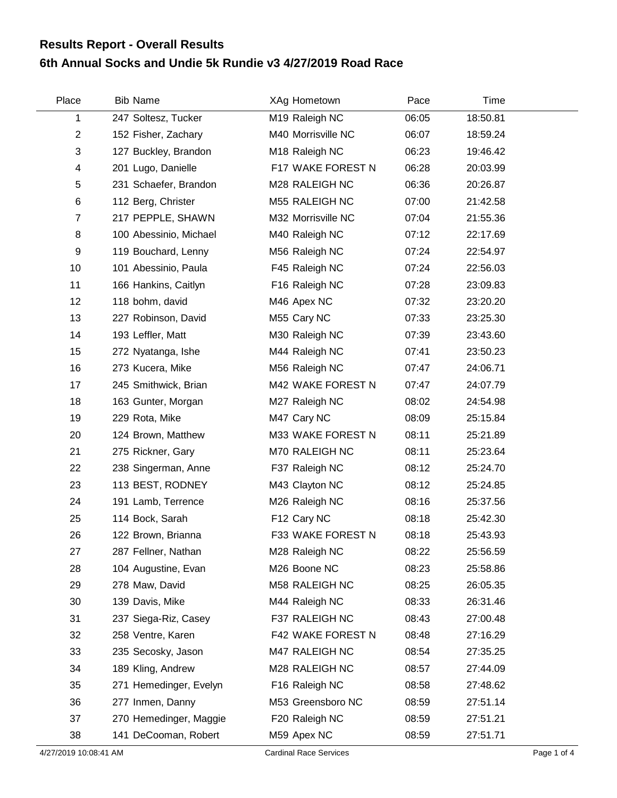## **6th Annual Socks and Undie 5k Rundie v3 4/27/2019 Road Race Results Report - Overall Results**

| Place                 | <b>Bib Name</b>        | XAg Hometown                  | Pace  | Time     |             |
|-----------------------|------------------------|-------------------------------|-------|----------|-------------|
| 1                     | 247 Soltesz, Tucker    | M19 Raleigh NC                | 06:05 | 18:50.81 |             |
| $\overline{2}$        | 152 Fisher, Zachary    | M40 Morrisville NC            | 06:07 | 18:59.24 |             |
| 3                     | 127 Buckley, Brandon   | M18 Raleigh NC                | 06:23 | 19:46.42 |             |
| 4                     | 201 Lugo, Danielle     | F17 WAKE FOREST N             | 06:28 | 20:03.99 |             |
| 5                     | 231 Schaefer, Brandon  | M28 RALEIGH NC                | 06:36 | 20:26.87 |             |
| $\,6$                 | 112 Berg, Christer     | M55 RALEIGH NC                | 07:00 | 21:42.58 |             |
| 7                     | 217 PEPPLE, SHAWN      | M32 Morrisville NC            | 07:04 | 21:55.36 |             |
| 8                     | 100 Abessinio, Michael | M40 Raleigh NC                | 07:12 | 22:17.69 |             |
| 9                     | 119 Bouchard, Lenny    | M56 Raleigh NC                | 07:24 | 22:54.97 |             |
| 10                    | 101 Abessinio, Paula   | F45 Raleigh NC                | 07:24 | 22:56.03 |             |
| 11                    | 166 Hankins, Caitlyn   | F16 Raleigh NC                | 07:28 | 23:09.83 |             |
| 12                    | 118 bohm, david        | M46 Apex NC                   | 07:32 | 23:20.20 |             |
| 13                    | 227 Robinson, David    | M55 Cary NC                   | 07:33 | 23:25.30 |             |
| 14                    | 193 Leffler, Matt      | M30 Raleigh NC                | 07:39 | 23:43.60 |             |
| 15                    | 272 Nyatanga, Ishe     | M44 Raleigh NC                | 07:41 | 23:50.23 |             |
| 16                    | 273 Kucera, Mike       | M56 Raleigh NC                | 07:47 | 24:06.71 |             |
| 17                    | 245 Smithwick, Brian   | M42 WAKE FOREST N             | 07:47 | 24:07.79 |             |
| 18                    | 163 Gunter, Morgan     | M27 Raleigh NC                | 08:02 | 24:54.98 |             |
| 19                    | 229 Rota, Mike         | M47 Cary NC                   | 08:09 | 25:15.84 |             |
| 20                    | 124 Brown, Matthew     | M33 WAKE FOREST N             | 08:11 | 25:21.89 |             |
| 21                    | 275 Rickner, Gary      | M70 RALEIGH NC                | 08:11 | 25:23.64 |             |
| 22                    | 238 Singerman, Anne    | F37 Raleigh NC                | 08:12 | 25:24.70 |             |
| 23                    | 113 BEST, RODNEY       | M43 Clayton NC                | 08:12 | 25:24.85 |             |
| 24                    | 191 Lamb, Terrence     | M26 Raleigh NC                | 08:16 | 25:37.56 |             |
| 25                    | 114 Bock, Sarah        | F12 Cary NC                   | 08:18 | 25:42.30 |             |
| 26                    | 122 Brown, Brianna     | F33 WAKE FOREST N             | 08:18 | 25:43.93 |             |
| 27                    | 287 Fellner, Nathan    | M28 Raleigh NC                | 08:22 | 25:56.59 |             |
| 28                    | 104 Augustine, Evan    | M26 Boone NC                  | 08:23 | 25:58.86 |             |
| 29                    | 278 Maw, David         | M58 RALEIGH NC                | 08:25 | 26:05.35 |             |
| 30                    | 139 Davis, Mike        | M44 Raleigh NC                | 08:33 | 26:31.46 |             |
| 31                    | 237 Siega-Riz, Casey   | F37 RALEIGH NC                | 08:43 | 27:00.48 |             |
| 32                    | 258 Ventre, Karen      | F42 WAKE FOREST N             | 08:48 | 27:16.29 |             |
| 33                    | 235 Secosky, Jason     | M47 RALEIGH NC                | 08:54 | 27:35.25 |             |
| 34                    | 189 Kling, Andrew      | M28 RALEIGH NC                | 08:57 | 27:44.09 |             |
| 35                    | 271 Hemedinger, Evelyn | F16 Raleigh NC                | 08:58 | 27:48.62 |             |
| 36                    | 277 Inmen, Danny       | M53 Greensboro NC             | 08:59 | 27:51.14 |             |
| 37                    | 270 Hemedinger, Maggie | F20 Raleigh NC                | 08:59 | 27:51.21 |             |
| 38                    | 141 DeCooman, Robert   | M59 Apex NC                   | 08:59 | 27:51.71 |             |
| 4/27/2019 10:08:41 AM |                        | <b>Cardinal Race Services</b> |       |          | Page 1 of 4 |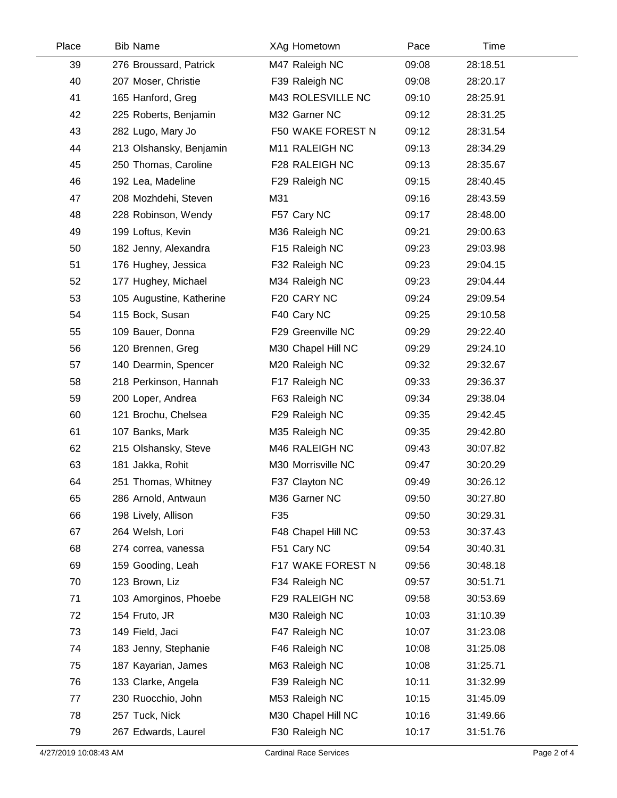| Place | <b>Bib Name</b>          | XAg Hometown       | Pace  | Time     |  |
|-------|--------------------------|--------------------|-------|----------|--|
| 39    | 276 Broussard, Patrick   | M47 Raleigh NC     | 09:08 | 28:18.51 |  |
| 40    | 207 Moser, Christie      | F39 Raleigh NC     | 09:08 | 28:20.17 |  |
| 41    | 165 Hanford, Greg        | M43 ROLESVILLE NC  | 09:10 | 28:25.91 |  |
| 42    | 225 Roberts, Benjamin    | M32 Garner NC      | 09:12 | 28:31.25 |  |
| 43    | 282 Lugo, Mary Jo        | F50 WAKE FOREST N  | 09:12 | 28:31.54 |  |
| 44    | 213 Olshansky, Benjamin  | M11 RALEIGH NC     | 09:13 | 28:34.29 |  |
| 45    | 250 Thomas, Caroline     | F28 RALEIGH NC     | 09:13 | 28:35.67 |  |
| 46    | 192 Lea, Madeline        | F29 Raleigh NC     | 09:15 | 28:40.45 |  |
| 47    | 208 Mozhdehi, Steven     | M31                | 09:16 | 28:43.59 |  |
| 48    | 228 Robinson, Wendy      | F57 Cary NC        | 09:17 | 28:48.00 |  |
| 49    | 199 Loftus, Kevin        | M36 Raleigh NC     | 09:21 | 29:00.63 |  |
| 50    | 182 Jenny, Alexandra     | F15 Raleigh NC     | 09:23 | 29:03.98 |  |
| 51    | 176 Hughey, Jessica      | F32 Raleigh NC     | 09:23 | 29:04.15 |  |
| 52    | 177 Hughey, Michael      | M34 Raleigh NC     | 09:23 | 29:04.44 |  |
| 53    | 105 Augustine, Katherine | F20 CARY NC        | 09:24 | 29:09.54 |  |
| 54    | 115 Bock, Susan          | F40 Cary NC        | 09:25 | 29:10.58 |  |
| 55    | 109 Bauer, Donna         | F29 Greenville NC  | 09:29 | 29:22.40 |  |
| 56    | 120 Brennen, Greg        | M30 Chapel Hill NC | 09:29 | 29:24.10 |  |
| 57    | 140 Dearmin, Spencer     | M20 Raleigh NC     | 09:32 | 29:32.67 |  |
| 58    | 218 Perkinson, Hannah    | F17 Raleigh NC     | 09:33 | 29:36.37 |  |
| 59    | 200 Loper, Andrea        | F63 Raleigh NC     | 09:34 | 29:38.04 |  |
| 60    | 121 Brochu, Chelsea      | F29 Raleigh NC     | 09:35 | 29:42.45 |  |
| 61    | 107 Banks, Mark          | M35 Raleigh NC     | 09:35 | 29:42.80 |  |
| 62    | 215 Olshansky, Steve     | M46 RALEIGH NC     | 09:43 | 30:07.82 |  |
| 63    | 181 Jakka, Rohit         | M30 Morrisville NC | 09:47 | 30:20.29 |  |
| 64    | 251 Thomas, Whitney      | F37 Clayton NC     | 09:49 | 30:26.12 |  |
| 65    | 286 Arnold, Antwaun      | M36 Garner NC      | 09:50 | 30:27.80 |  |
| 66    | 198 Lively, Allison      | F35                | 09:50 | 30:29.31 |  |
| 67    | 264 Welsh, Lori          | F48 Chapel Hill NC | 09:53 | 30:37.43 |  |
| 68    | 274 correa, vanessa      | F51 Cary NC        | 09:54 | 30:40.31 |  |
| 69    | 159 Gooding, Leah        | F17 WAKE FOREST N  | 09:56 | 30:48.18 |  |
| 70    | 123 Brown, Liz           | F34 Raleigh NC     | 09:57 | 30:51.71 |  |
| 71    | 103 Amorginos, Phoebe    | F29 RALEIGH NC     | 09:58 | 30:53.69 |  |
| 72    | 154 Fruto, JR            | M30 Raleigh NC     | 10:03 | 31:10.39 |  |
| 73    | 149 Field, Jaci          | F47 Raleigh NC     | 10:07 | 31:23.08 |  |
| 74    | 183 Jenny, Stephanie     | F46 Raleigh NC     | 10:08 | 31:25.08 |  |
| 75    | 187 Kayarian, James      | M63 Raleigh NC     | 10:08 | 31:25.71 |  |
| 76    | 133 Clarke, Angela       | F39 Raleigh NC     | 10:11 | 31:32.99 |  |
| 77    | 230 Ruocchio, John       | M53 Raleigh NC     | 10:15 | 31:45.09 |  |
| 78    | 257 Tuck, Nick           | M30 Chapel Hill NC | 10:16 | 31:49.66 |  |
| 79    | 267 Edwards, Laurel      | F30 Raleigh NC     | 10:17 | 31:51.76 |  |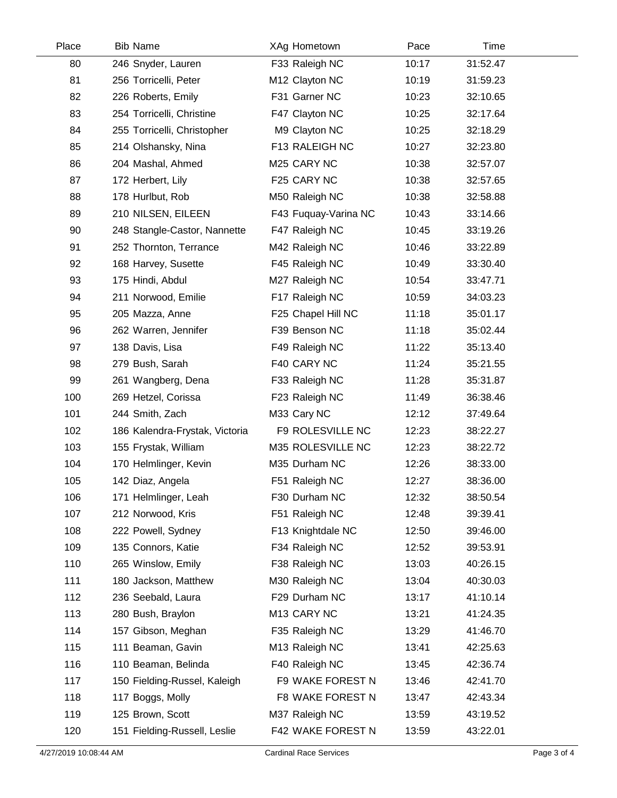| Place | <b>Bib Name</b>                | XAg Hometown         | Pace  | Time     |  |
|-------|--------------------------------|----------------------|-------|----------|--|
| 80    | 246 Snyder, Lauren             | F33 Raleigh NC       | 10:17 | 31:52.47 |  |
| 81    | 256 Torricelli, Peter          | M12 Clayton NC       | 10:19 | 31:59.23 |  |
| 82    | 226 Roberts, Emily             | F31 Garner NC        | 10:23 | 32:10.65 |  |
| 83    | 254 Torricelli, Christine      | F47 Clayton NC       | 10:25 | 32:17.64 |  |
| 84    | 255 Torricelli, Christopher    | M9 Clayton NC        | 10:25 | 32:18.29 |  |
| 85    | 214 Olshansky, Nina            | F13 RALEIGH NC       | 10:27 | 32:23.80 |  |
| 86    | 204 Mashal, Ahmed              | M25 CARY NC          | 10:38 | 32:57.07 |  |
| 87    | 172 Herbert, Lily              | F25 CARY NC          | 10:38 | 32:57.65 |  |
| 88    | 178 Hurlbut, Rob               | M50 Raleigh NC       | 10:38 | 32:58.88 |  |
| 89    | 210 NILSEN, EILEEN             | F43 Fuquay-Varina NC | 10:43 | 33:14.66 |  |
| 90    | 248 Stangle-Castor, Nannette   | F47 Raleigh NC       | 10:45 | 33:19.26 |  |
| 91    | 252 Thornton, Terrance         | M42 Raleigh NC       | 10:46 | 33:22.89 |  |
| 92    | 168 Harvey, Susette            | F45 Raleigh NC       | 10:49 | 33:30.40 |  |
| 93    | 175 Hindi, Abdul               | M27 Raleigh NC       | 10:54 | 33:47.71 |  |
| 94    | 211 Norwood, Emilie            | F17 Raleigh NC       | 10:59 | 34:03.23 |  |
| 95    | 205 Mazza, Anne                | F25 Chapel Hill NC   | 11:18 | 35:01.17 |  |
| 96    | 262 Warren, Jennifer           | F39 Benson NC        | 11:18 | 35:02.44 |  |
| 97    | 138 Davis, Lisa                | F49 Raleigh NC       | 11:22 | 35:13.40 |  |
| 98    | 279 Bush, Sarah                | F40 CARY NC          | 11:24 | 35:21.55 |  |
| 99    | 261 Wangberg, Dena             | F33 Raleigh NC       | 11:28 | 35:31.87 |  |
| 100   | 269 Hetzel, Corissa            | F23 Raleigh NC       | 11:49 | 36:38.46 |  |
| 101   | 244 Smith, Zach                | M33 Cary NC          | 12:12 | 37:49.64 |  |
| 102   | 186 Kalendra-Frystak, Victoria | F9 ROLESVILLE NC     | 12:23 | 38:22.27 |  |
| 103   | 155 Frystak, William           | M35 ROLESVILLE NC    | 12:23 | 38:22.72 |  |
| 104   | 170 Helmlinger, Kevin          | M35 Durham NC        | 12:26 | 38:33.00 |  |
| 105   | 142 Diaz, Angela               | F51 Raleigh NC       | 12:27 | 38:36.00 |  |
| 106   | 171 Helmlinger, Leah           | F30 Durham NC        | 12:32 | 38:50.54 |  |
| 107   | 212 Norwood, Kris              | F51 Raleigh NC       | 12:48 | 39:39.41 |  |
| 108   | 222 Powell, Sydney             | F13 Knightdale NC    | 12:50 | 39:46.00 |  |
| 109   | 135 Connors, Katie             | F34 Raleigh NC       | 12:52 | 39:53.91 |  |
| 110   | 265 Winslow, Emily             | F38 Raleigh NC       | 13:03 | 40:26.15 |  |
| 111   | 180 Jackson, Matthew           | M30 Raleigh NC       | 13:04 | 40:30.03 |  |
| 112   | 236 Seebald, Laura             | F29 Durham NC        | 13:17 | 41:10.14 |  |
| 113   | 280 Bush, Braylon              | M13 CARY NC          | 13:21 | 41:24.35 |  |
| 114   | 157 Gibson, Meghan             | F35 Raleigh NC       | 13:29 | 41:46.70 |  |
| 115   | 111 Beaman, Gavin              | M13 Raleigh NC       | 13:41 | 42:25.63 |  |
| 116   | 110 Beaman, Belinda            | F40 Raleigh NC       | 13:45 | 42:36.74 |  |
| 117   | 150 Fielding-Russel, Kaleigh   | F9 WAKE FOREST N     | 13:46 | 42:41.70 |  |
| 118   | 117 Boggs, Molly               | F8 WAKE FOREST N     | 13:47 | 42:43.34 |  |
| 119   | 125 Brown, Scott               | M37 Raleigh NC       | 13:59 | 43:19.52 |  |
| 120   | 151 Fielding-Russell, Leslie   | F42 WAKE FOREST N    | 13:59 | 43:22.01 |  |
|       |                                |                      |       |          |  |